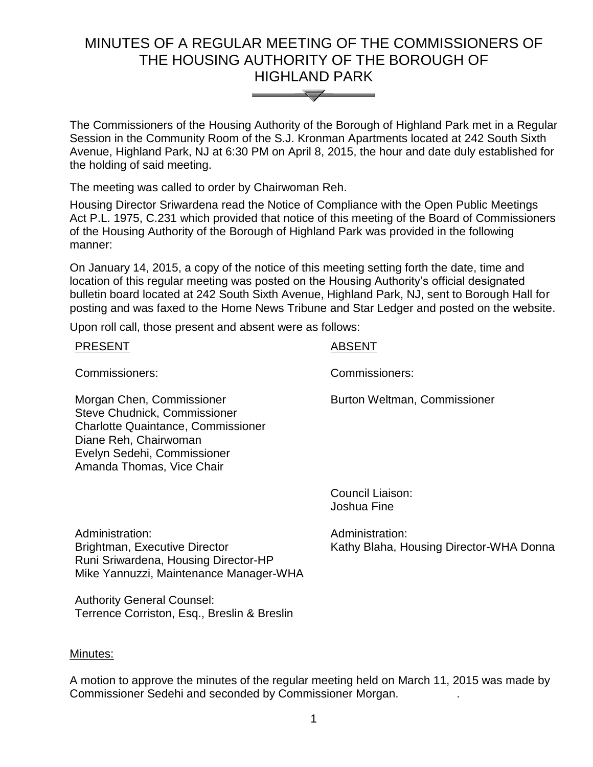# MINUTES OF A REGULAR MEETING OF THE COMMISSIONERS OF THE HOUSING AUTHORITY OF THE BOROUGH OF HIGHLAND PARK



The Commissioners of the Housing Authority of the Borough of Highland Park met in a Regular Session in the Community Room of the S.J. Kronman Apartments located at 242 South Sixth Avenue, Highland Park, NJ at 6:30 PM on April 8, 2015, the hour and date duly established for the holding of said meeting.

The meeting was called to order by Chairwoman Reh.

Housing Director Sriwardena read the Notice of Compliance with the Open Public Meetings Act P.L. 1975, C.231 which provided that notice of this meeting of the Board of Commissioners of the Housing Authority of the Borough of Highland Park was provided in the following manner:

On January 14, 2015, a copy of the notice of this meeting setting forth the date, time and location of this regular meeting was posted on the Housing Authority's official designated bulletin board located at 242 South Sixth Avenue, Highland Park, NJ, sent to Borough Hall for posting and was faxed to the Home News Tribune and Star Ledger and posted on the website.

Upon roll call, those present and absent were as follows:

| <b>PRESENT</b> | <b>ABSENT</b> |
|----------------|---------------|
|                |               |

Commissioners: Commissioners:

Burton Weltman, Commissioner

Morgan Chen, Commissioner Steve Chudnick, Commissioner Charlotte Quaintance, Commissioner Diane Reh, Chairwoman Evelyn Sedehi, Commissioner Amanda Thomas, Vice Chair

> Council Liaison: Joshua Fine

Administration: Brightman, Executive Director Runi Sriwardena, Housing Director-HP Mike Yannuzzi, Maintenance Manager-WHA Administration: Kathy Blaha, Housing Director-WHA Donna

Authority General Counsel: Terrence Corriston, Esq., Breslin & Breslin

# Minutes:

A motion to approve the minutes of the regular meeting held on March 11, 2015 was made by Commissioner Sedehi and seconded by Commissioner Morgan. .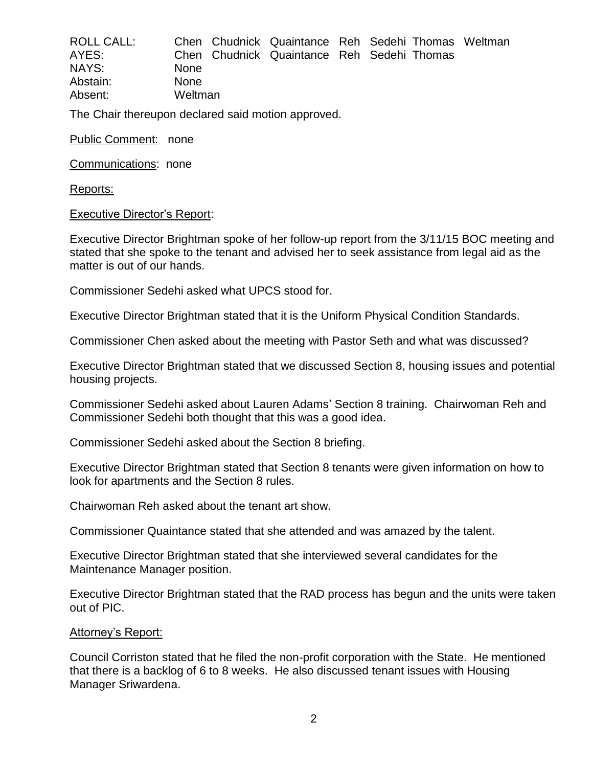| <b>ROLL CALL:</b> |             | Chen Chudnick Quaintance Reh Sedehi Thomas Weltman |  |  |
|-------------------|-------------|----------------------------------------------------|--|--|
| AYES:             |             | Chen Chudnick Quaintance Reh Sedehi Thomas         |  |  |
| NAYS:             | <b>None</b> |                                                    |  |  |
| Abstain:          | <b>None</b> |                                                    |  |  |
| Absent:           | Weltman     |                                                    |  |  |

The Chair thereupon declared said motion approved.

Public Comment: none

Communications: none

Reports:

#### Executive Director's Report:

Executive Director Brightman spoke of her follow-up report from the 3/11/15 BOC meeting and stated that she spoke to the tenant and advised her to seek assistance from legal aid as the matter is out of our hands.

Commissioner Sedehi asked what UPCS stood for.

Executive Director Brightman stated that it is the Uniform Physical Condition Standards.

Commissioner Chen asked about the meeting with Pastor Seth and what was discussed?

Executive Director Brightman stated that we discussed Section 8, housing issues and potential housing projects.

Commissioner Sedehi asked about Lauren Adams' Section 8 training. Chairwoman Reh and Commissioner Sedehi both thought that this was a good idea.

Commissioner Sedehi asked about the Section 8 briefing.

Executive Director Brightman stated that Section 8 tenants were given information on how to look for apartments and the Section 8 rules.

Chairwoman Reh asked about the tenant art show.

Commissioner Quaintance stated that she attended and was amazed by the talent.

Executive Director Brightman stated that she interviewed several candidates for the Maintenance Manager position.

Executive Director Brightman stated that the RAD process has begun and the units were taken out of PIC.

#### Attorney's Report:

Council Corriston stated that he filed the non-profit corporation with the State. He mentioned that there is a backlog of 6 to 8 weeks. He also discussed tenant issues with Housing Manager Sriwardena.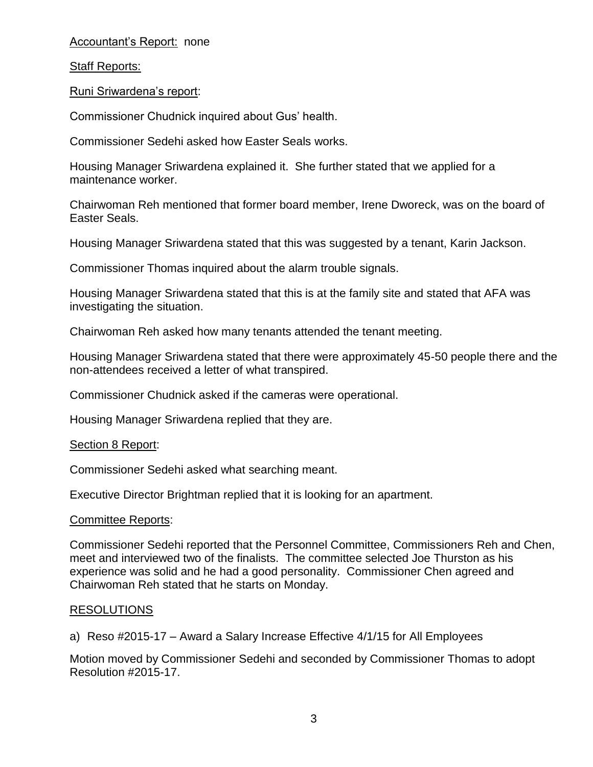# Accountant's Report: none

# Staff Reports:

Runi Sriwardena's report:

Commissioner Chudnick inquired about Gus' health.

Commissioner Sedehi asked how Easter Seals works.

Housing Manager Sriwardena explained it. She further stated that we applied for a maintenance worker.

Chairwoman Reh mentioned that former board member, Irene Dworeck, was on the board of Easter Seals.

Housing Manager Sriwardena stated that this was suggested by a tenant, Karin Jackson.

Commissioner Thomas inquired about the alarm trouble signals.

Housing Manager Sriwardena stated that this is at the family site and stated that AFA was investigating the situation.

Chairwoman Reh asked how many tenants attended the tenant meeting.

Housing Manager Sriwardena stated that there were approximately 45-50 people there and the non-attendees received a letter of what transpired.

Commissioner Chudnick asked if the cameras were operational.

Housing Manager Sriwardena replied that they are.

Section 8 Report:

Commissioner Sedehi asked what searching meant.

Executive Director Brightman replied that it is looking for an apartment.

# Committee Reports:

Commissioner Sedehi reported that the Personnel Committee, Commissioners Reh and Chen, meet and interviewed two of the finalists. The committee selected Joe Thurston as his experience was solid and he had a good personality. Commissioner Chen agreed and Chairwoman Reh stated that he starts on Monday.

# RESOLUTIONS

a) Reso #2015-17 – Award a Salary Increase Effective 4/1/15 for All Employees

Motion moved by Commissioner Sedehi and seconded by Commissioner Thomas to adopt Resolution #2015-17.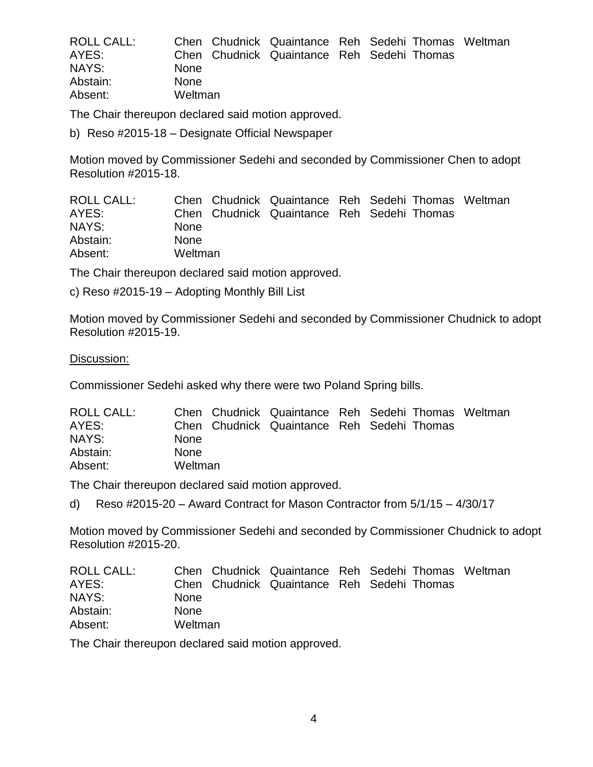| <b>ROLL CALL:</b> |             | Chen Chudnick Quaintance Reh Sedehi Thomas Weltman |  |  |
|-------------------|-------------|----------------------------------------------------|--|--|
| AYES:             |             | Chen Chudnick Quaintance Reh Sedehi Thomas         |  |  |
| NAYS:             | <b>None</b> |                                                    |  |  |
| Abstain:          | <b>None</b> |                                                    |  |  |
| Absent:           | Weltman     |                                                    |  |  |

The Chair thereupon declared said motion approved.

b) Reso #2015-18 – Designate Official Newspaper

Motion moved by Commissioner Sedehi and seconded by Commissioner Chen to adopt Resolution #2015-18.

| ROLL CALL: | Chen Chudnick Quaintance Reh Sedehi Thomas Weltman |  |  |  |
|------------|----------------------------------------------------|--|--|--|
| AYES:      | Chen Chudnick Quaintance Reh Sedehi Thomas         |  |  |  |
| NAYS:      | <b>None</b>                                        |  |  |  |
| Abstain:   | <b>None</b>                                        |  |  |  |
| Absent:    | Weltman                                            |  |  |  |

The Chair thereupon declared said motion approved.

c) Reso #2015-19 – Adopting Monthly Bill List

Motion moved by Commissioner Sedehi and seconded by Commissioner Chudnick to adopt Resolution #2015-19.

#### Discussion:

Commissioner Sedehi asked why there were two Poland Spring bills.

| ROLL CALL: |             | Chen Chudnick Quaintance Reh Sedehi Thomas Weltman |  |  |
|------------|-------------|----------------------------------------------------|--|--|
| AYES:      |             | Chen Chudnick Quaintance Reh Sedehi Thomas         |  |  |
| NAYS:      | <b>None</b> |                                                    |  |  |
| Abstain:   | <b>None</b> |                                                    |  |  |
| Absent:    | Weltman     |                                                    |  |  |

The Chair thereupon declared said motion approved.

d) Reso #2015-20 – Award Contract for Mason Contractor from 5/1/15 – 4/30/17

Motion moved by Commissioner Sedehi and seconded by Commissioner Chudnick to adopt Resolution #2015-20.

| ROLL CALL: | Chen Chudnick Quaintance Reh Sedehi Thomas Weltman |  |  |  |
|------------|----------------------------------------------------|--|--|--|
| AYES:      | Chen Chudnick Quaintance Reh Sedehi Thomas         |  |  |  |
| NAYS:      | <b>None</b>                                        |  |  |  |
| Abstain:   | <b>None</b>                                        |  |  |  |
| Absent:    | Weltman                                            |  |  |  |

The Chair thereupon declared said motion approved.